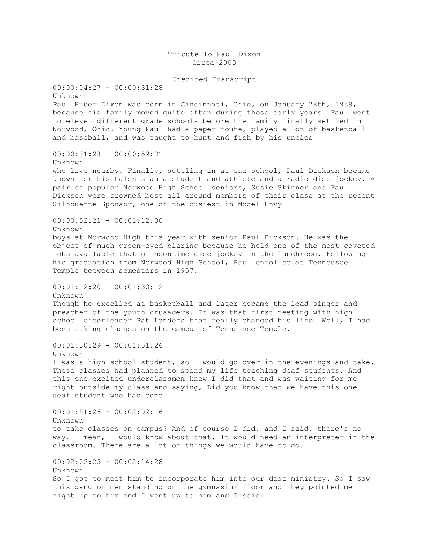Tribute To Paul Dixon Circa 2003

Unedited Transcript

 $00:00:04:27 - 00:00:31:28$ Unknown Paul Huber Dixon was born in Cincinnati, Ohio, on January 28th, 1939, because his family moved quite often during those early years. Paul went to eleven different grade schools before the family finally settled in Norwood, Ohio. Young Paul had a paper route, played a lot of basketball and baseball, and was taught to hunt and fish by his uncles 00:00:31:28 - 00:00:52:21 Unknown who live nearby. Finally, settling in at one school, Paul Dickson became known for his talents as a student and athlete and a radio disc jockey. A pair of popular Norwood High School seniors, Susie Skinner and Paul Dickson were crowned best all around members of their class at the recent Silhouette Sponsor, one of the busiest in Model Envy 00:00:52:21 - 00:01:12:00 Unknown boys at Norwood High this year with senior Paul Dickson. He was the object of much green-eyed blaring because he held one of the most coveted jobs available that of noontime disc jockey in the lunchroom. Following his graduation from Norwood High School, Paul enrolled at Tennessee Temple between semesters in 1957. 00:01:12:20 - 00:01:30:12 Unknown Though he excelled at basketball and later became the lead singer and preacher of the youth crusaders. It was that first meeting with high school cheerleader Pat Landers that really changed his life. Well, I had been taking classes on the campus of Tennessee Temple. 00:01:30:29 - 00:01:51:26 Unknown I was a high school student, so I would go over in the evenings and take. These classes had planned to spend my life teaching deaf students. And this one excited underclassmen knew I did that and was waiting for me right outside my class and saying, Did you know that we have this one deaf student who has come 00:01:51:26 - 00:02:02:16 Unknown to take classes on campus? And of course I did, and I said, there's no way. I mean, I would know about that. It would need an interpreter in the classroom. There are a lot of things we would have to do. 00:02:02:25 - 00:02:14:28 Unknown So I got to meet him to incorporate him into our deaf ministry. So I saw this gang of men standing on the gymnasium floor and they pointed me right up to him and I went up to him and I said.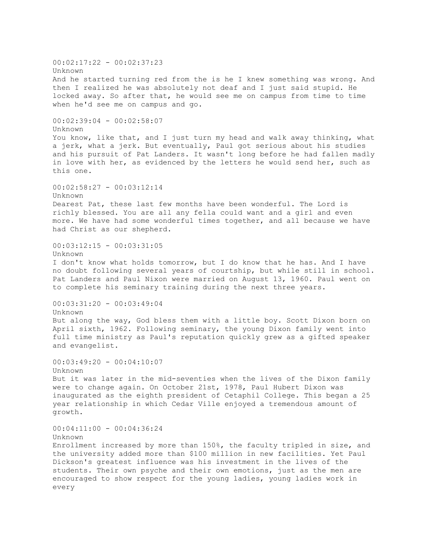$00:02:17:22 - 00:02:37:23$ Unknown And he started turning red from the is he I knew something was wrong. And then I realized he was absolutely not deaf and I just said stupid. He locked away. So after that, he would see me on campus from time to time when he'd see me on campus and go. 00:02:39:04 - 00:02:58:07 Unknown You know, like that, and I just turn my head and walk away thinking, what a jerk, what a jerk. But eventually, Paul got serious about his studies and his pursuit of Pat Landers. It wasn't long before he had fallen madly in love with her, as evidenced by the letters he would send her, such as this one. 00:02:58:27 - 00:03:12:14 Unknown Dearest Pat, these last few months have been wonderful. The Lord is richly blessed. You are all any fella could want and a girl and even more. We have had some wonderful times together, and all because we have had Christ as our shepherd. 00:03:12:15 - 00:03:31:05 Unknown I don't know what holds tomorrow, but I do know that he has. And I have no doubt following several years of courtship, but while still in school. Pat Landers and Paul Nixon were married on August 13, 1960. Paul went on to complete his seminary training during the next three years. 00:03:31:20 - 00:03:49:04 Unknown But along the way, God bless them with a little boy. Scott Dixon born on April sixth, 1962. Following seminary, the young Dixon family went into full time ministry as Paul's reputation quickly grew as a gifted speaker and evangelist. 00:03:49:20 - 00:04:10:07 Unknown But it was later in the mid-seventies when the lives of the Dixon family were to change again. On October 21st, 1978, Paul Hubert Dixon was inaugurated as the eighth president of Cetaphil College. This began a 25 year relationship in which Cedar Ville enjoyed a tremendous amount of growth.  $00:04:11:00 - 00:04:36:24$ Unknown Enrollment increased by more than 150%, the faculty tripled in size, and the university added more than \$100 million in new facilities. Yet Paul Dickson's greatest influence was his investment in the lives of the students. Their own psyche and their own emotions, just as the men are encouraged to show respect for the young ladies, young ladies work in every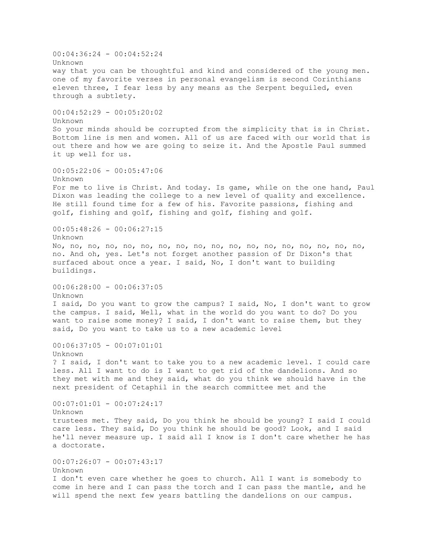00:04:36:24 - 00:04:52:24 Unknown way that you can be thoughtful and kind and considered of the young men. one of my favorite verses in personal evangelism is second Corinthians eleven three, I fear less by any means as the Serpent beguiled, even through a subtlety. 00:04:52:29 - 00:05:20:02 Unknown So your minds should be corrupted from the simplicity that is in Christ. Bottom line is men and women. All of us are faced with our world that is out there and how we are going to seize it. And the Apostle Paul summed it up well for us. 00:05:22:06 - 00:05:47:06 Unknown For me to live is Christ. And today. Is game, while on the one hand, Paul Dixon was leading the college to a new level of quality and excellence. He still found time for a few of his. Favorite passions, fishing and golf, fishing and golf, fishing and golf, fishing and golf. 00:05:48:26 - 00:06:27:15 Unknown No, no, no, no, no, no, no, no, no, no, no, no, no, no, no, no, no, no, no. And oh, yes. Let's not forget another passion of Dr Dixon's that surfaced about once a year. I said, No, I don't want to building buildings. 00:06:28:00 - 00:06:37:05 Unknown I said, Do you want to grow the campus? I said, No, I don't want to grow the campus. I said, Well, what in the world do you want to do? Do you want to raise some money? I said, I don't want to raise them, but they said, Do you want to take us to a new academic level 00:06:37:05 - 00:07:01:01 Unknown ? I said, I don't want to take you to a new academic level. I could care less. All I want to do is I want to get rid of the dandelions. And so they met with me and they said, what do you think we should have in the next president of Cetaphil in the search committee met and the 00:07:01:01 - 00:07:24:17 Unknown trustees met. They said, Do you think he should be young? I said I could care less. They said, Do you think he should be good? Look, and I said he'll never measure up. I said all I know is I don't care whether he has a doctorate. 00:07:26:07 - 00:07:43:17 Unknown I don't even care whether he goes to church. All I want is somebody to come in here and I can pass the torch and I can pass the mantle, and he will spend the next few years battling the dandelions on our campus.